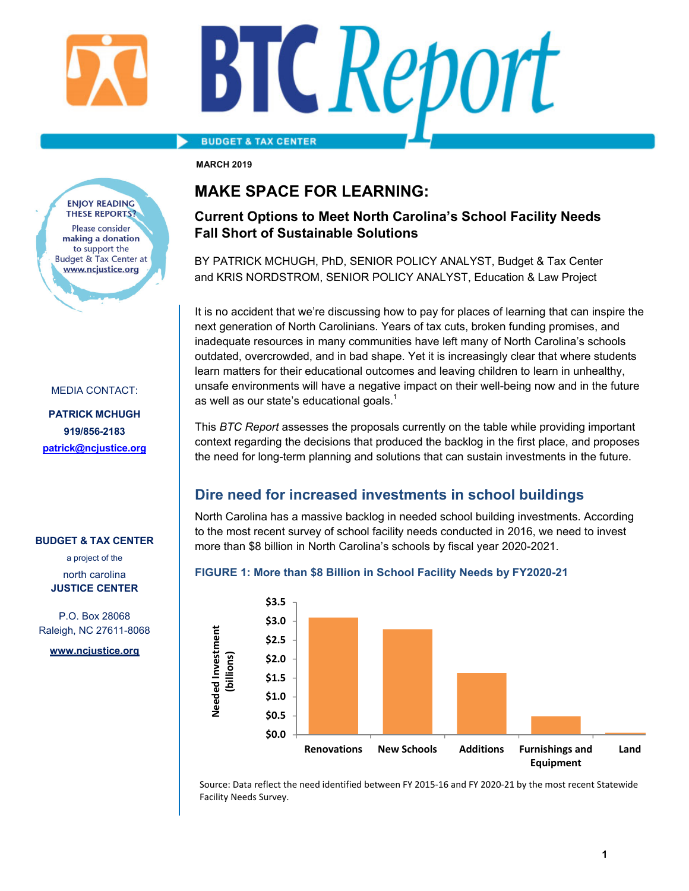#### **BUDGET & TAX CENTER**

**MARCH 2019** 

#### **ENIOY READING THESE REPORTS?** Please consider making a donation to support the **Budget & Tax Center at** www.ncjustice.org

#### MEDIA CONTACT:

**PATRICK MCHUGH 919/856-2183 patrick@ncjustice.org**

#### **BUDGET & TAX CENTER**

a project of the north carolina **JUSTICE CENTER** 

P.O. Box 28068 Raleigh, NC 27611-8068

**www.ncjustice.org** 

### **MAKE SPACE FOR LEARNING:**

### **Current Options to Meet North Carolina's School Facility Needs Fall Short of Sustainable Solutions**

BY PATRICK MCHUGH, PhD, SENIOR POLICY ANALYST, Budget & Tax Center and KRIS NORDSTROM, SENIOR POLICY ANALYST, Education & Law Project

It is no accident that we're discussing how to pay for places of learning that can inspire the next generation of North Carolinians. Years of tax cuts, broken funding promises, and inadequate resources in many communities have left many of North Carolina's schools outdated, overcrowded, and in bad shape. Yet it is increasingly clear that where students learn matters for their educational outcomes and leaving children to learn in unhealthy, unsafe environments will have a negative impact on their well-being now and in the future as well as our state's educational goals. $^{\mathsf{1}}$ 

This *BTC Report* assesses the proposals currently on the table while providing important context regarding the decisions that produced the backlog in the first place, and proposes the need for long-term planning and solutions that can sustain investments in the future.

### **Dire need for increased investments in school buildings**

North Carolina has a massive backlog in needed school building investments. According to the most recent survey of school facility needs conducted in 2016, we need to invest more than \$8 billion in North Carolina's schools by fiscal year 2020-2021.

#### **FIGURE 1: More than \$8 Billion in School Facility Needs by FY2020-21**



Source: Data reflect the need identified between FY 2015‐16 and FY 2020‐21 by the most recent Statewide Facility Needs Survey.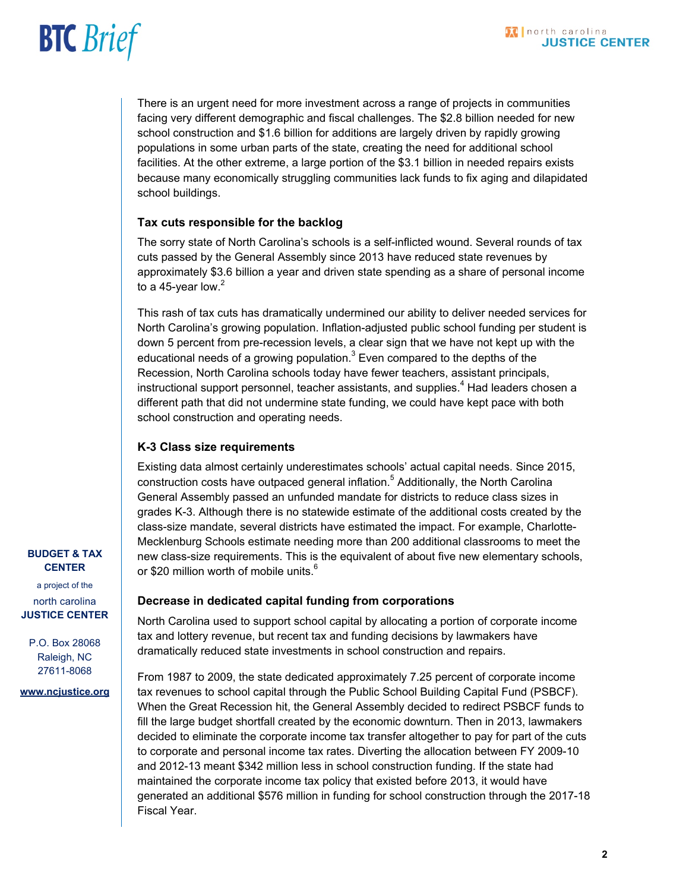### **BTC** Brief

There is an urgent need for more investment across a range of projects in communities facing very different demographic and fiscal challenges. The \$2.8 billion needed for new school construction and \$1.6 billion for additions are largely driven by rapidly growing populations in some urban parts of the state, creating the need for additional school facilities. At the other extreme, a large portion of the \$3.1 billion in needed repairs exists because many economically struggling communities lack funds to fix aging and dilapidated school buildings.

#### **Tax cuts responsible for the backlog**

The sorry state of North Carolina's schools is a self-inflicted wound. Several rounds of tax cuts passed by the General Assembly since 2013 have reduced state revenues by approximately \$3.6 billion a year and driven state spending as a share of personal income to a 45-year low. $^2\,$ 

This rash of tax cuts has dramatically undermined our ability to deliver needed services for North Carolina's growing population. Inflation-adjusted public school funding per student is down 5 percent from pre-recession levels, a clear sign that we have not kept up with the educational needs of a growing population. $^3$  Even compared to the depths of the Recession, North Carolina schools today have fewer teachers, assistant principals, instructional support personnel, teacher assistants, and supplies. $^{\rm 4}$  Had leaders chosen a different path that did not undermine state funding, we could have kept pace with both school construction and operating needs.

#### **K-3 Class size requirements**

Existing data almost certainly underestimates schools' actual capital needs. Since 2015, construction costs have outpaced general inflation.<sup>5</sup> Additionally, the North Carolina General Assembly passed an unfunded mandate for districts to reduce class sizes in grades K-3. Although there is no statewide estimate of the additional costs created by the class-size mandate, several districts have estimated the impact. For example, Charlotte-Mecklenburg Schools estimate needing more than 200 additional classrooms to meet the new class-size requirements. This is the equivalent of about five new elementary schools, or \$20 million worth of mobile units.<sup>6</sup>

#### **Decrease in dedicated capital funding from corporations**

North Carolina used to support school capital by allocating a portion of corporate income tax and lottery revenue, but recent tax and funding decisions by lawmakers have dramatically reduced state investments in school construction and repairs.

From 1987 to 2009, the state dedicated approximately 7.25 percent of corporate income tax revenues to school capital through the Public School Building Capital Fund (PSBCF). When the Great Recession hit, the General Assembly decided to redirect PSBCF funds to fill the large budget shortfall created by the economic downturn. Then in 2013, lawmakers decided to eliminate the corporate income tax transfer altogether to pay for part of the cuts to corporate and personal income tax rates. Diverting the allocation between FY 2009-10 and 2012-13 meant \$342 million less in school construction funding. If the state had maintained the corporate income tax policy that existed before 2013, it would have generated an additional \$576 million in funding for school construction through the 2017-18 Fiscal Year.

#### **BUDGET & TAX CENTER**

a project of the north carolina **JUSTICE CENTER** 

P.O. Box 28068 Raleigh, NC 27611-8068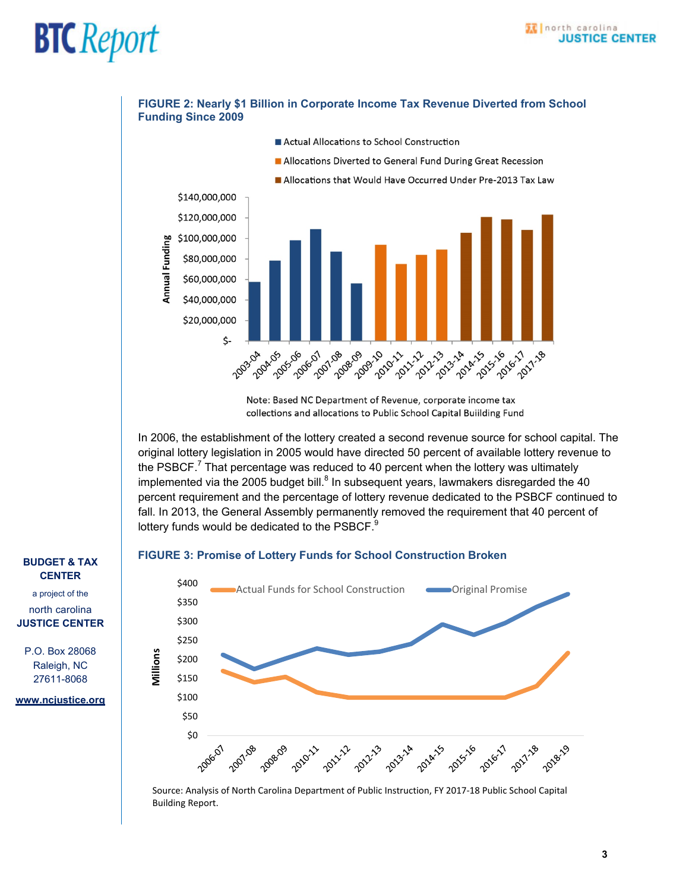

**FIGURE 2: Nearly \$1 Billion in Corporate Income Tax Revenue Diverted from School** 

Note: Based NC Department of Revenue, corporate income tax collections and allocations to Public School Capital Building Fund

In 2006, the establishment of the lottery created a second revenue source for school capital. The original lottery legislation in 2005 would have directed 50 percent of available lottery revenue to the PSBCF. $^7$  That percentage was reduced to 40 percent when the lottery was ultimately implemented via the 2005 budget bill. $^8$  In subsequent years, lawmakers disregarded the 40 percent requirement and the percentage of lottery revenue dedicated to the PSBCF continued to fall. In 2013, the General Assembly permanently removed the requirement that 40 percent of lottery funds would be dedicated to the PSBCF.<sup>9</sup>

#### **FIGURE 3: Promise of Lottery Funds for School Construction Broken**



Source: Analysis of North Carolina Department of Public Instruction, FY 2017‐18 Public School Capital Building Report.

#### **BUDGET & TAX CENTER**

a project of the north carolina **JUSTICE CENTER** 

P.O. Box 28068 Raleigh, NC 27611-8068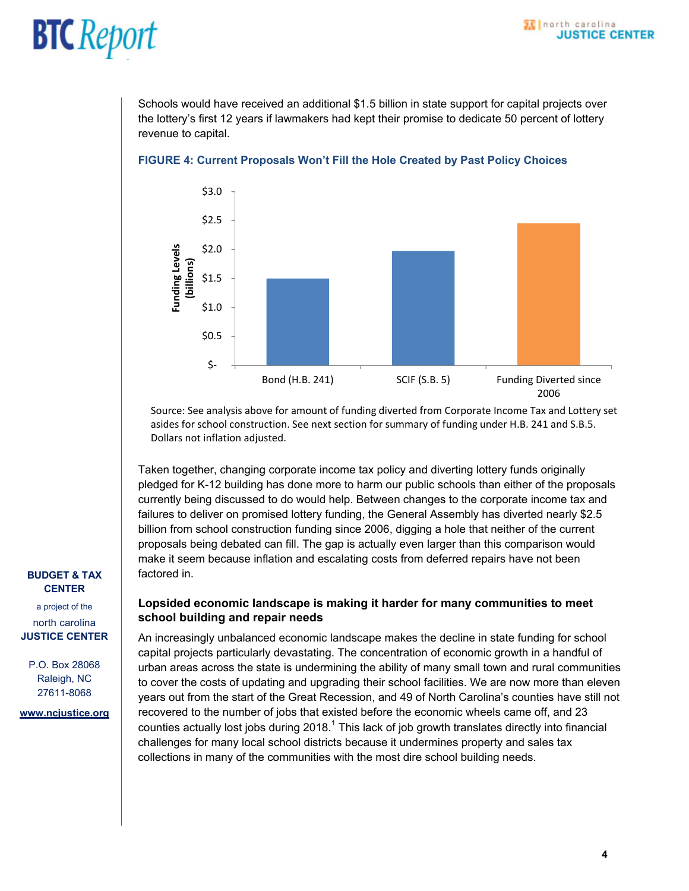Schools would have received an additional \$1.5 billion in state support for capital projects over the lottery's first 12 years if lawmakers had kept their promise to dedicate 50 percent of lottery revenue to capital.



#### **FIGURE 4: Current Proposals Won't Fill the Hole Created by Past Policy Choices**

Source: See analysis above for amount of funding diverted from Corporate Income Tax and Lottery set asides for school construction. See next section for summary of funding under H.B. 241 and S.B.5. Dollars not inflation adjusted.

Taken together, changing corporate income tax policy and diverting lottery funds originally pledged for K-12 building has done more to harm our public schools than either of the proposals currently being discussed to do would help. Between changes to the corporate income tax and failures to deliver on promised lottery funding, the General Assembly has diverted nearly \$2.5 billion from school construction funding since 2006, digging a hole that neither of the current proposals being debated can fill. The gap is actually even larger than this comparison would make it seem because inflation and escalating costs from deferred repairs have not been factored in.

#### **Lopsided economic landscape is making it harder for many communities to meet school building and repair needs**

An increasingly unbalanced economic landscape makes the decline in state funding for school capital projects particularly devastating. The concentration of economic growth in a handful of urban areas across the state is undermining the ability of many small town and rural communities to cover the costs of updating and upgrading their school facilities. We are now more than eleven years out from the start of the Great Recession, and 49 of North Carolina's counties have still not recovered to the number of jobs that existed before the economic wheels came off, and 23 counties actually lost jobs during 2018. $^{\rm 1}$  This lack of job growth translates directly into financial challenges for many local school districts because it undermines property and sales tax collections in many of the communities with the most dire school building needs.

#### **BUDGET & TAX CENTER**

a project of the north carolina **JUSTICE CENTER** 

P.O. Box 28068 Raleigh, NC 27611-8068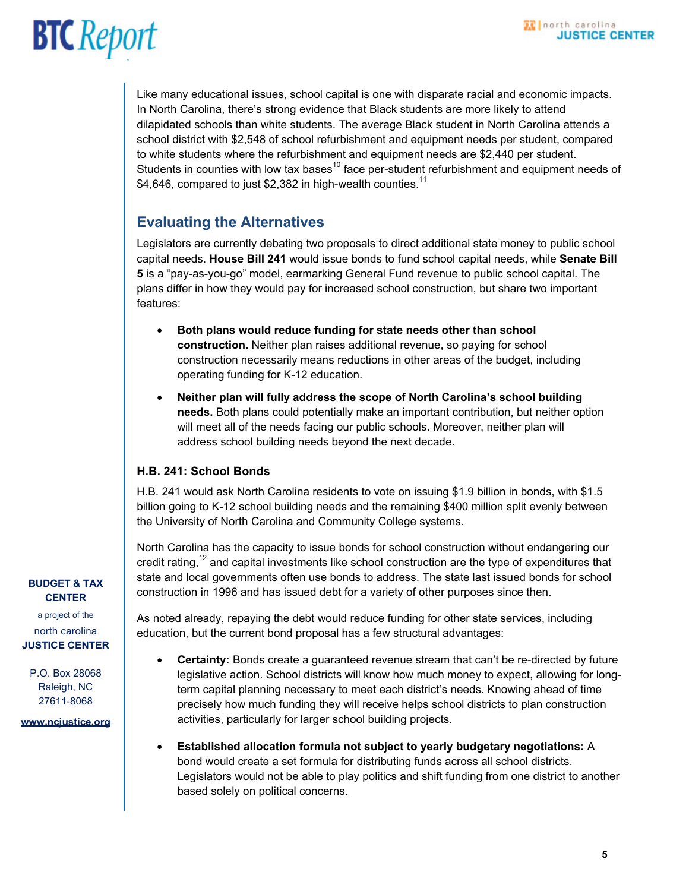Like many educational issues, school capital is one with disparate racial and economic impacts. In North Carolina, there's strong evidence that Black students are more likely to attend dilapidated schools than white students. The average Black student in North Carolina attends a school district with \$2,548 of school refurbishment and equipment needs per student, compared to white students where the refurbishment and equipment needs are \$2,440 per student. Students in counties with low tax bases<sup>10</sup> face per-student refurbishment and equipment needs of \$4,646, compared to just \$2,382 in high-wealth counties.<sup>11</sup>

### **Evaluating the Alternatives**

Legislators are currently debating two proposals to direct additional state money to public school capital needs. **House Bill 241** would issue bonds to fund school capital needs, while **Senate Bill 5** is a "pay-as-you-go" model, earmarking General Fund revenue to public school capital. The plans differ in how they would pay for increased school construction, but share two important features:

- **Both plans would reduce funding for state needs other than school construction.** Neither plan raises additional revenue, so paying for school construction necessarily means reductions in other areas of the budget, including operating funding for K-12 education.
- **Neither plan will fully address the scope of North Carolina's school building needs.** Both plans could potentially make an important contribution, but neither option will meet all of the needs facing our public schools. Moreover, neither plan will address school building needs beyond the next decade.

#### **H.B. 241: School Bonds**

H.B. 241 would ask North Carolina residents to vote on issuing \$1.9 billion in bonds, with \$1.5 billion going to K-12 school building needs and the remaining \$400 million split evenly between the University of North Carolina and Community College systems.

North Carolina has the capacity to issue bonds for school construction without endangering our credit rating, $12$  and capital investments like school construction are the type of expenditures that state and local governments often use bonds to address. The state last issued bonds for school construction in 1996 and has issued debt for a variety of other purposes since then.

As noted already, repaying the debt would reduce funding for other state services, including education, but the current bond proposal has a few structural advantages:

- **Certainty:** Bonds create a guaranteed revenue stream that can't be re-directed by future legislative action. School districts will know how much money to expect, allowing for longterm capital planning necessary to meet each district's needs. Knowing ahead of time precisely how much funding they will receive helps school districts to plan construction activities, particularly for larger school building projects.
- **Established allocation formula not subject to yearly budgetary negotiations:** A bond would create a set formula for distributing funds across all school districts. Legislators would not be able to play politics and shift funding from one district to another based solely on political concerns.

#### **BUDGET & TAX CENTER**

a project of the north carolina **JUSTICE CENTER** 

P.O. Box 28068 Raleigh, NC 27611-8068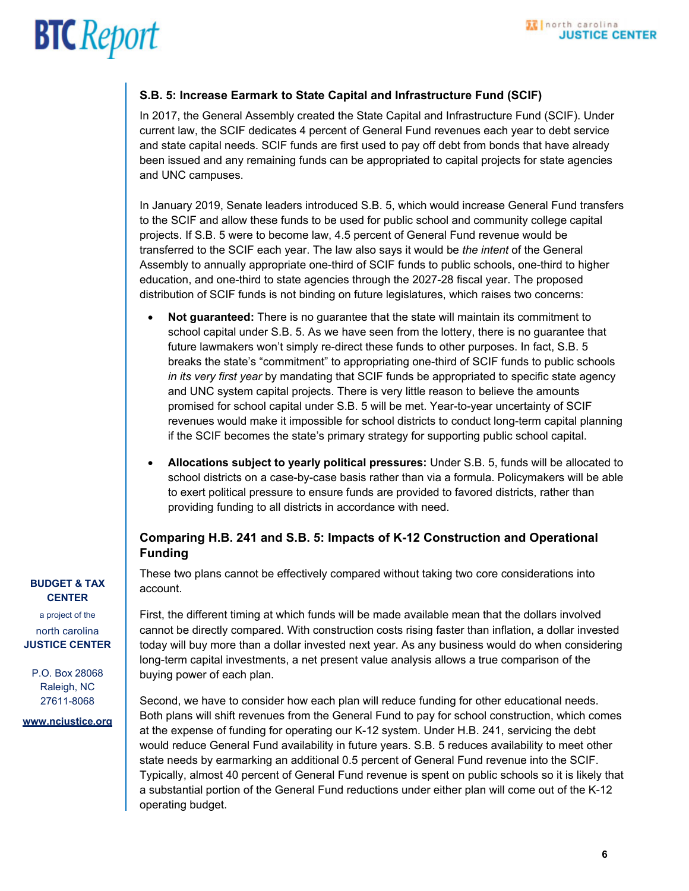#### **S.B. 5: Increase Earmark to State Capital and Infrastructure Fund (SCIF)**

In 2017, the General Assembly created the State Capital and Infrastructure Fund (SCIF). Under current law, the SCIF dedicates 4 percent of General Fund revenues each year to debt service and state capital needs. SCIF funds are first used to pay off debt from bonds that have already been issued and any remaining funds can be appropriated to capital projects for state agencies and UNC campuses.

In January 2019, Senate leaders introduced S.B. 5, which would increase General Fund transfers to the SCIF and allow these funds to be used for public school and community college capital projects. If S.B. 5 were to become law, 4.5 percent of General Fund revenue would be transferred to the SCIF each year. The law also says it would be *the intent* of the General Assembly to annually appropriate one-third of SCIF funds to public schools, one-third to higher education, and one-third to state agencies through the 2027-28 fiscal year. The proposed distribution of SCIF funds is not binding on future legislatures, which raises two concerns:

- **Not guaranteed:** There is no guarantee that the state will maintain its commitment to school capital under S.B. 5. As we have seen from the lottery, there is no guarantee that future lawmakers won't simply re-direct these funds to other purposes. In fact, S.B. 5 breaks the state's "commitment" to appropriating one-third of SCIF funds to public schools *in its very first year* by mandating that SCIF funds be appropriated to specific state agency and UNC system capital projects. There is very little reason to believe the amounts promised for school capital under S.B. 5 will be met. Year-to-year uncertainty of SCIF revenues would make it impossible for school districts to conduct long-term capital planning if the SCIF becomes the state's primary strategy for supporting public school capital.
- **Allocations subject to yearly political pressures:** Under S.B. 5, funds will be allocated to school districts on a case-by-case basis rather than via a formula. Policymakers will be able to exert political pressure to ensure funds are provided to favored districts, rather than providing funding to all districts in accordance with need.

#### **Comparing H.B. 241 and S.B. 5: Impacts of K-12 Construction and Operational Funding**

These two plans cannot be effectively compared without taking two core considerations into account.

First, the different timing at which funds will be made available mean that the dollars involved cannot be directly compared. With construction costs rising faster than inflation, a dollar invested today will buy more than a dollar invested next year. As any business would do when considering long-term capital investments, a net present value analysis allows a true comparison of the buying power of each plan.

Second, we have to consider how each plan will reduce funding for other educational needs. Both plans will shift revenues from the General Fund to pay for school construction, which comes at the expense of funding for operating our K-12 system. Under H.B. 241, servicing the debt would reduce General Fund availability in future years. S.B. 5 reduces availability to meet other state needs by earmarking an additional 0.5 percent of General Fund revenue into the SCIF. Typically, almost 40 percent of General Fund revenue is spent on public schools so it is likely that a substantial portion of the General Fund reductions under either plan will come out of the K-12 operating budget.

#### **BUDGET & TAX CENTER**

a project of the north carolina **JUSTICE CENTER** 

P.O. Box 28068 Raleigh, NC 27611-8068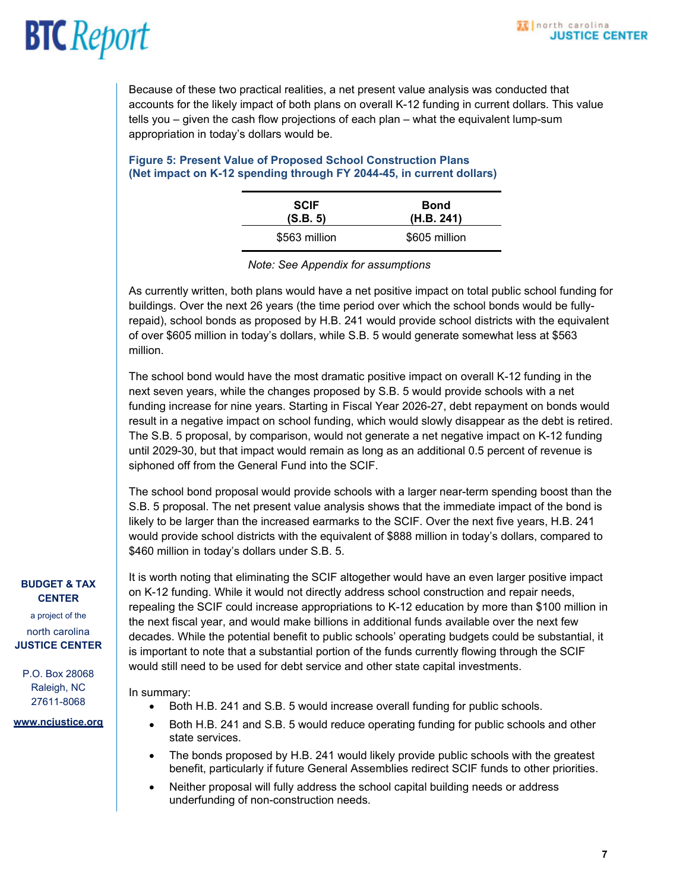tells you – given the cash flow projections of each plan – what the equivalent lump-sum Because of these two practical realities, a net present value analysis was conducted that accounts for the likely impact of both plans on overall K-12 funding in current dollars. This value appropriation in today's dollars would be.

#### **Figure 5: Present Value of Proposed School Construction Plans (Net impact on K-12 spending through FY 2044-45, in current dollars)**

| <b>SCIF</b>   | <b>Bond</b>   |
|---------------|---------------|
| (S.B. 5)      | (H.B. 241)    |
| \$563 million | \$605 million |

*Note: See Appendix for assumptions*

As currently written, both plans would have a net positive impact on total public school funding for buildings. Over the next 26 years (the time period over which the school bonds would be fullyrepaid), school bonds as proposed by H.B. 241 would provide school districts with the equivalent of over \$605 million in today's dollars, while S.B. 5 would generate somewhat less at \$563 million.

The school bond would have the most dramatic positive impact on overall K-12 funding in the next seven years, while the changes proposed by S.B. 5 would provide schools with a net funding increase for nine years. Starting in Fiscal Year 2026-27, debt repayment on bonds would result in a negative impact on school funding, which would slowly disappear as the debt is retired. The S.B. 5 proposal, by comparison, would not generate a net negative impact on K-12 funding until 2029-30, but that impact would remain as long as an additional 0.5 percent of revenue is siphoned off from the General Fund into the SCIF.

The school bond proposal would provide schools with a larger near-term spending boost than the S.B. 5 proposal. The net present value analysis shows that the immediate impact of the bond is likely to be larger than the increased earmarks to the SCIF. Over the next five years, H.B. 241 would provide school districts with the equivalent of \$888 million in today's dollars, compared to \$460 million in today's dollars under S.B. 5.

#### **BUDGET & TAX CENTER**

a project of the north carolina **JUSTICE CENTER** 

P.O. Box 28068 Raleigh, NC 27611-8068

#### **www.ncjustice.org**

It is worth noting that eliminating the SCIF altogether would have an even larger positive impact on K-12 funding. While it would not directly address school construction and repair needs, repealing the SCIF could increase appropriations to K-12 education by more than \$100 million in the next fiscal year, and would make billions in additional funds available over the next few decades. While the potential benefit to public schools' operating budgets could be substantial, it is important to note that a substantial portion of the funds currently flowing through the SCIF would still need to be used for debt service and other state capital investments.

In summary:

- Both H.B. 241 and S.B. 5 would increase overall funding for public schools.
- Both H.B. 241 and S.B. 5 would reduce operating funding for public schools and other state services.
- The bonds proposed by H.B. 241 would likely provide public schools with the greatest benefit, particularly if future General Assemblies redirect SCIF funds to other priorities.
- Neither proposal will fully address the school capital building needs or address underfunding of non-construction needs.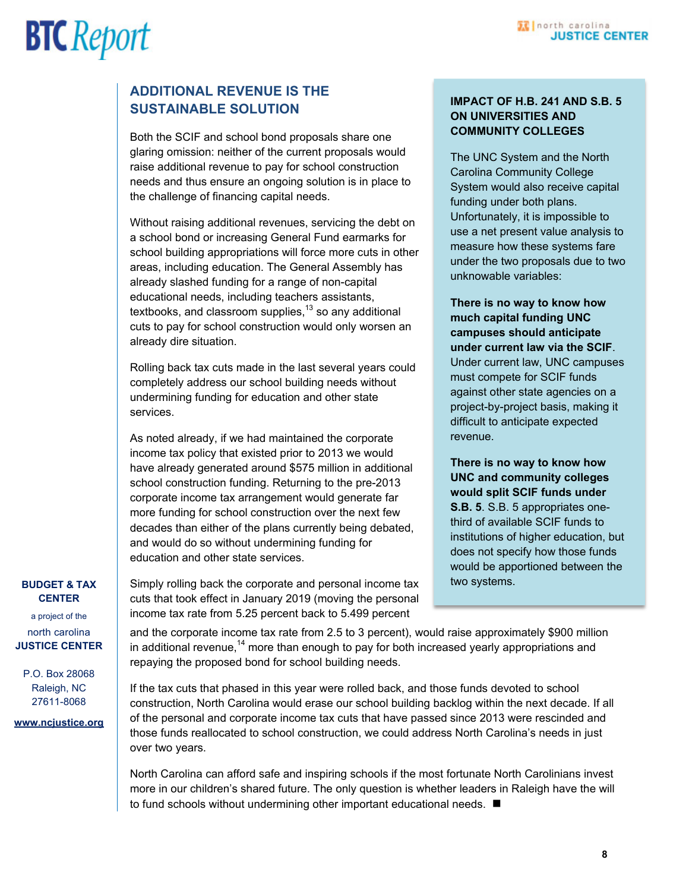#### **10** north carolina **JUSTICE CENTER**

# **BTC** Report

### **SUSTAINABLE SOLUTION ADDITIONAL REVENUE IS THE**

Both the SCIF and school bond proposals share one glaring omission: neither of the current proposals would raise additional revenue to pay for school construction needs and thus ensure an ongoing solution is in place to the challenge of financing capital needs.

Without raising additional revenues, servicing the debt on a school bond or increasing General Fund earmarks for school building appropriations will force more cuts in other areas, including education. The General Assembly has already slashed funding for a range of non-capital educational needs, including teachers assistants, textbooks, and classroom supplies, $13$  so any additional cuts to pay for school construction would only worsen an already dire situation.

Rolling back tax cuts made in the last several years could completely address our school building needs without undermining funding for education and other state services.

As noted already, if we had maintained the corporate income tax policy that existed prior to 2013 we would have already generated around \$575 million in additional school construction funding. Returning to the pre-2013 corporate income tax arrangement would generate far more funding for school construction over the next few decades than either of the plans currently being debated, and would do so without undermining funding for education and other state services.

Simply rolling back the corporate and personal income tax

#### **IMPACT OF H.B. 241 AND S.B. 5 ON UNIVERSITIES AND COMMUNITY COLLEGES**

The UNC System and the North Carolina Community College System would also receive capital funding under both plans. Unfortunately, it is impossible to use a net present value analysis to measure how these systems fare under the two proposals due to two unknowable variables:

**There is no way to know how much capital funding UNC campuses should anticipate under current law via the SCIF**. Under current law, UNC campuses must compete for SCIF funds against other state agencies on a project-by-project basis, making it difficult to anticipate expected revenue.

**There is no way to know how UNC and community colleges would split SCIF funds under S.B. 5**. S.B. 5 appropriates onethird of available SCIF funds to institutions of higher education, but does not specify how those funds would be apportioned between the two systems.

#### **BUDGET & TAX CENTER**

a project of the north carolina **JUSTICE CENTER** 

P.O. Box 28068 Raleigh, NC 27611-8068

**www.ncjustice.org** 

cuts that took effect in January 2019 (moving the personal income tax rate from 5.25 percent back to 5.499 percent

and the corporate income tax rate from 2.5 to 3 percent), would raise approximately \$900 million in additional revenue,<sup>14</sup> more than enough to pay for both increased yearly appropriations and repaying the proposed bond for school building needs.

If the tax cuts that phased in this year were rolled back, and those funds devoted to school construction, North Carolina would erase our school building backlog within the next decade. If all of the personal and corporate income tax cuts that have passed since 2013 were rescinded and those funds reallocated to school construction, we could address North Carolina's needs in just over two years.

North Carolina can afford safe and inspiring schools if the most fortunate North Carolinians invest more in our children's shared future. The only question is whether leaders in Raleigh have the will to fund schools without undermining other important educational needs. ■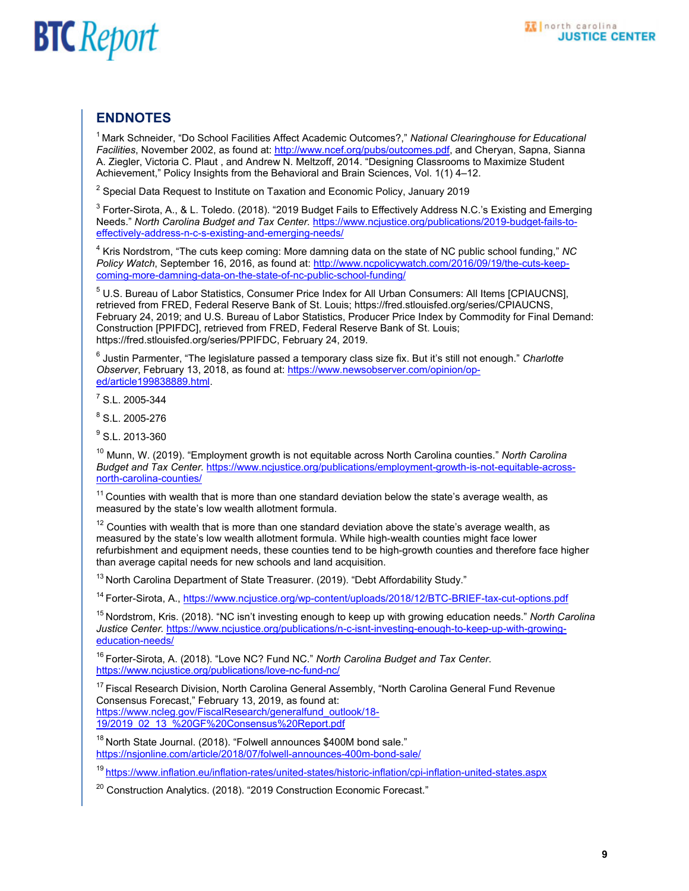### **ENDNOTES**

1 Mark Schneider, "Do School Facilities Affect Academic Outcomes?," *National Clearinghouse for Educational Facilities*, November 2002, as found at: http://www.ncef.org/pubs/outcomes.pdf, and Cheryan, Sapna, Sianna A. Ziegler, Victoria C. Plaut , and Andrew N. Meltzoff, 2014. "Designing Classrooms to Maximize Student Achievement," Policy Insights from the Behavioral and Brain Sciences, Vol. 1(1) 4–12.

 $^{\rm 2}$  Special Data Request to Institute on Taxation and Economic Policy, January 2019

 $^3$  Forter-Sirota, A., & L. Toledo. (2018). "2019 Budget Fails to Effectively Address N.C.'s Existing and Emerging Needs." *North Carolina Budget and Tax Center.* https://www.ncjustice.org/publications/2019-budget-fails-toeffectively-address-n-c-s-existing-and-emerging-needs/

4 Kris Nordstrom, "The cuts keep coming: More damning data on the state of NC public school funding," *NC Policy Watch*, September 16, 2016, as found at: http://www.ncpolicywatch.com/2016/09/19/the-cuts-keepcoming-more-damning-data-on-the-state-of-nc-public-school-funding/

 $^5$  U.S. Bureau of Labor Statistics, Consumer Price Index for All Urban Consumers: All Items [CPIAUCNS], retrieved from FRED, Federal Reserve Bank of St. Louis; https://fred.stlouisfed.org/series/CPIAUCNS, February 24, 2019; and U.S. Bureau of Labor Statistics, Producer Price Index by Commodity for Final Demand: Construction [PPIFDC], retrieved from FRED, Federal Reserve Bank of St. Louis; https://fred.stlouisfed.org/series/PPIFDC, February 24, 2019.

6 Justin Parmenter, "The legislature passed a temporary class size fix. But it's still not enough." *Charlotte Observer*, February 13, 2018, as found at: https://www.newsobserver.com/opinion/oped/article199838889.html.

 $7$  S.L. 2005-344

8 S.L. 2005-276

<sup>9</sup> S.L. 2013-360

10 Munn, W. (2019). "Employment growth is not equitable across North Carolina counties." *North Carolina Budget and Tax Center.* https://www.ncjustice.org/publications/employment-growth-is-not-equitable-acrossnorth-carolina-counties/

 $11$  Counties with wealth that is more than one standard deviation below the state's average wealth, as measured by the state's low wealth allotment formula.

 $12$  Counties with wealth that is more than one standard deviation above the state's average wealth, as measured by the state's low wealth allotment formula. While high-wealth counties might face lower refurbishment and equipment needs, these counties tend to be high-growth counties and therefore face higher than average capital needs for new schools and land acquisition.

<sup>13</sup> North Carolina Department of State Treasurer. (2019). "Debt Affordability Study."

14 Forter-Sirota, A., https://www.ncjustice.org/wp-content/uploads/2018/12/BTC-BRIEF-tax-cut-options.pdf

15 Nordstrom, Kris. (2018). "NC isn't investing enough to keep up with growing education needs." *North Carolina Justice Center.* https://www.ncjustice.org/publications/n-c-isnt-investing-enough-to-keep-up-with-growingeducation-needs/

16 Forter-Sirota, A. (2018). "Love NC? Fund NC." *North Carolina Budget and Tax Center*. https://www.ncjustice.org/publications/love-nc-fund-nc/

<sup>17</sup> Fiscal Research Division, North Carolina General Assembly, "North Carolina General Fund Revenue Consensus Forecast," February 13, 2019, as found at: https://www.ncleg.gov/FiscalResearch/generalfund\_outlook/18- 19/2019\_02\_13\_%20GF%20Consensus%20Report.pdf

 $18$  North State Journal. (2018). "Folwell announces \$400M bond sale." https://nsjonline.com/article/2018/07/folwell-announces-400m-bond-sale/

19 https://www.inflation.eu/inflation-rates/united-states/historic-inflation/cpi-inflation-united-states.aspx

<sup>20</sup> Construction Analytics. (2018). "2019 Construction Economic Forecast."